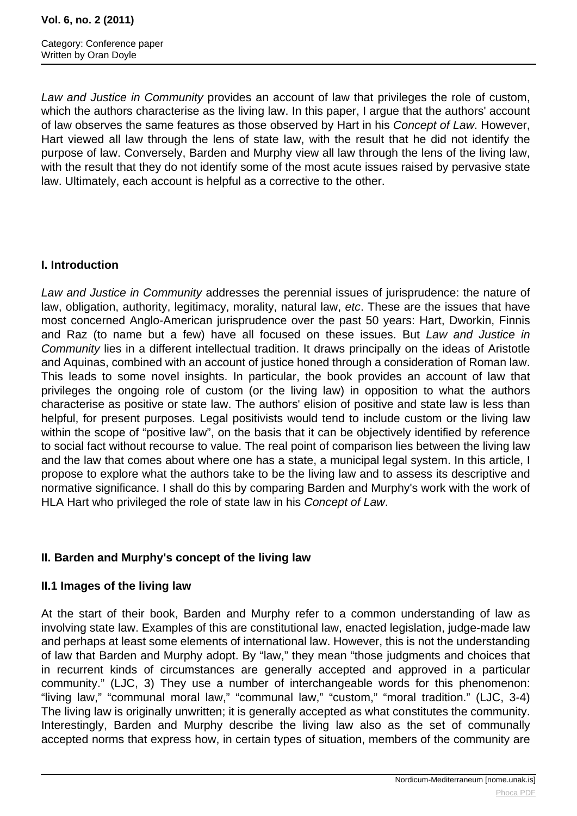Law and Justice in Community provides an account of law that privileges the role of custom, which the authors characterise as the living law. In this paper, I argue that the authors' account of law observes the same features as those observed by Hart in his Concept of Law. However, Hart viewed all law through the lens of state law, with the result that he did not identify the purpose of law. Conversely, Barden and Murphy view all law through the lens of the living law, with the result that they do not identify some of the most acute issues raised by pervasive state law. Ultimately, each account is helpful as a corrective to the other.

### **I. Introduction**

Law and Justice in Community addresses the perennial issues of jurisprudence: the nature of law, obligation, authority, legitimacy, morality, natural law, etc. These are the issues that have most concerned Anglo-American jurisprudence over the past 50 years: Hart, Dworkin, Finnis and Raz (to name but a few) have all focused on these issues. But Law and Justice in Community lies in a different intellectual tradition. It draws principally on the ideas of Aristotle and Aquinas, combined with an account of justice honed through a consideration of Roman law. This leads to some novel insights. In particular, the book provides an account of law that privileges the ongoing role of custom (or the living law) in opposition to what the authors characterise as positive or state law. The authors' elision of positive and state law is less than helpful, for present purposes. Legal positivists would tend to include custom or the living law within the scope of "positive law", on the basis that it can be objectively identified by reference to social fact without recourse to value. The real point of comparison lies between the living law and the law that comes about where one has a state, a municipal legal system. In this article, I propose to explore what the authors take to be the living law and to assess its descriptive and normative significance. I shall do this by comparing Barden and Murphy's work with the work of HLA Hart who privileged the role of state law in his Concept of Law.

# **II. Barden and Murphy's concept of the living law**

#### **II.1 Images of the living law**

At the start of their book, Barden and Murphy refer to a common understanding of law as involving state law. Examples of this are constitutional law, enacted legislation, judge-made law and perhaps at least some elements of international law. However, this is not the understanding of law that Barden and Murphy adopt. By "law," they mean "those judgments and choices that in recurrent kinds of circumstances are generally accepted and approved in a particular community." (LJC, 3) They use a number of interchangeable words for this phenomenon: "living law," "communal moral law," "communal law," "custom," "moral tradition." (LJC, 3-4) The living law is originally unwritten; it is generally accepted as what constitutes the community. Interestingly, Barden and Murphy describe the living law also as the set of communally accepted norms that express how, in certain types of situation, members of the community are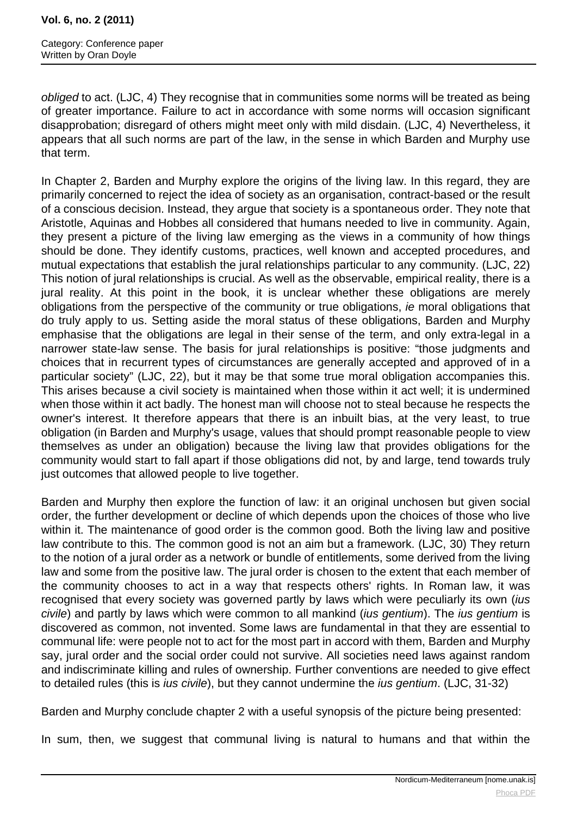obliged to act. (LJC, 4) They recognise that in communities some norms will be treated as being of greater importance. Failure to act in accordance with some norms will occasion significant disapprobation; disregard of others might meet only with mild disdain. (LJC, 4) Nevertheless, it appears that all such norms are part of the law, in the sense in which Barden and Murphy use that term.

In Chapter 2, Barden and Murphy explore the origins of the living law. In this regard, they are primarily concerned to reject the idea of society as an organisation, contract-based or the result of a conscious decision. Instead, they argue that society is a spontaneous order. They note that Aristotle, Aquinas and Hobbes all considered that humans needed to live in community. Again, they present a picture of the living law emerging as the views in a community of how things should be done. They identify customs, practices, well known and accepted procedures, and mutual expectations that establish the jural relationships particular to any community. (LJC, 22) This notion of jural relationships is crucial. As well as the observable, empirical reality, there is a jural reality. At this point in the book, it is unclear whether these obligations are merely obligations from the perspective of the community or true obligations, ie moral obligations that do truly apply to us. Setting aside the moral status of these obligations, Barden and Murphy emphasise that the obligations are legal in their sense of the term, and only extra-legal in a narrower state-law sense. The basis for jural relationships is positive: "those judgments and choices that in recurrent types of circumstances are generally accepted and approved of in a particular society" (LJC, 22), but it may be that some true moral obligation accompanies this. This arises because a civil society is maintained when those within it act well; it is undermined when those within it act badly. The honest man will choose not to steal because he respects the owner's interest. It therefore appears that there is an inbuilt bias, at the very least, to true obligation (in Barden and Murphy's usage, values that should prompt reasonable people to view themselves as under an obligation) because the living law that provides obligations for the community would start to fall apart if those obligations did not, by and large, tend towards truly just outcomes that allowed people to live together.

Barden and Murphy then explore the function of law: it an original unchosen but given social order, the further development or decline of which depends upon the choices of those who live within it. The maintenance of good order is the common good. Both the living law and positive law contribute to this. The common good is not an aim but a framework. (LJC, 30) They return to the notion of a jural order as a network or bundle of entitlements, some derived from the living law and some from the positive law. The jural order is chosen to the extent that each member of the community chooses to act in a way that respects others' rights. In Roman law, it was recognised that every society was governed partly by laws which were peculiarly its own *(ius*) civile) and partly by laws which were common to all mankind (*ius gentium*). The *ius gentium* is discovered as common, not invented. Some laws are fundamental in that they are essential to communal life: were people not to act for the most part in accord with them, Barden and Murphy say, jural order and the social order could not survive. All societies need laws against random and indiscriminate killing and rules of ownership. Further conventions are needed to give effect to detailed rules (this is ius civile), but they cannot undermine the ius gentium. (LJC, 31-32)

Barden and Murphy conclude chapter 2 with a useful synopsis of the picture being presented:

In sum, then, we suggest that communal living is natural to humans and that within the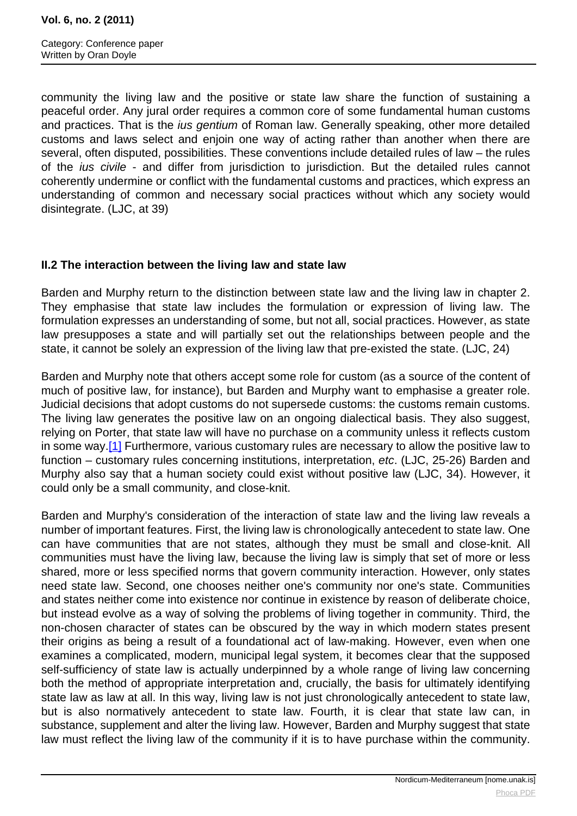<span id="page-2-0"></span>community the living law and the positive or state law share the function of sustaining a peaceful order. Any jural order requires a common core of some fundamental human customs and practices. That is the *ius gentium* of Roman law. Generally speaking, other more detailed customs and laws select and enjoin one way of acting rather than another when there are several, often disputed, possibilities. These conventions include detailed rules of law – the rules of the ius civile - and differ from jurisdiction to jurisdiction. But the detailed rules cannot coherently undermine or conflict with the fundamental customs and practices, which express an understanding of common and necessary social practices without which any society would disintegrate. (LJC, at 39)

### **II.2 The interaction between the living law and state law**

Barden and Murphy return to the distinction between state law and the living law in chapter 2. They emphasise that state law includes the formulation or expression of living law. The formulation expresses an understanding of some, but not all, social practices. However, as state law presupposes a state and will partially set out the relationships between people and the state, it cannot be solely an expression of the living law that pre-existed the state. (LJC, 24)

Barden and Murphy note that others accept some role for custom (as a source of the content of much of positive law, for instance), but Barden and Murphy want to emphasise a greater role. Judicial decisions that adopt customs do not supersede customs: the customs remain customs. The living law generates the positive law on an ongoing dialectical basis. They also suggest, relying on Porter, that state law will have no purchase on a community unless it reflects custom in some way.[\[1\]](#page-2-0) Furthermore, various customary rules are necessary to allow the positive law to function – customary rules concerning institutions, interpretation, etc. (LJC, 25-26) Barden and Murphy also say that a human society could exist without positive law (LJC, 34). However, it could only be a small community, and close-knit.

Barden and Murphy's consideration of the interaction of state law and the living law reveals a number of important features. First, the living law is chronologically antecedent to state law. One can have communities that are not states, although they must be small and close-knit. All communities must have the living law, because the living law is simply that set of more or less shared, more or less specified norms that govern community interaction. However, only states need state law. Second, one chooses neither one's community nor one's state. Communities and states neither come into existence nor continue in existence by reason of deliberate choice, but instead evolve as a way of solving the problems of living together in community. Third, the non-chosen character of states can be obscured by the way in which modern states present their origins as being a result of a foundational act of law-making. However, even when one examines a complicated, modern, municipal legal system, it becomes clear that the supposed self-sufficiency of state law is actually underpinned by a whole range of living law concerning both the method of appropriate interpretation and, crucially, the basis for ultimately identifying state law as law at all. In this way, living law is not just chronologically antecedent to state law, but is also normatively antecedent to state law. Fourth, it is clear that state law can, in substance, supplement and alter the living law. However, Barden and Murphy suggest that state law must reflect the living law of the community if it is to have purchase within the community.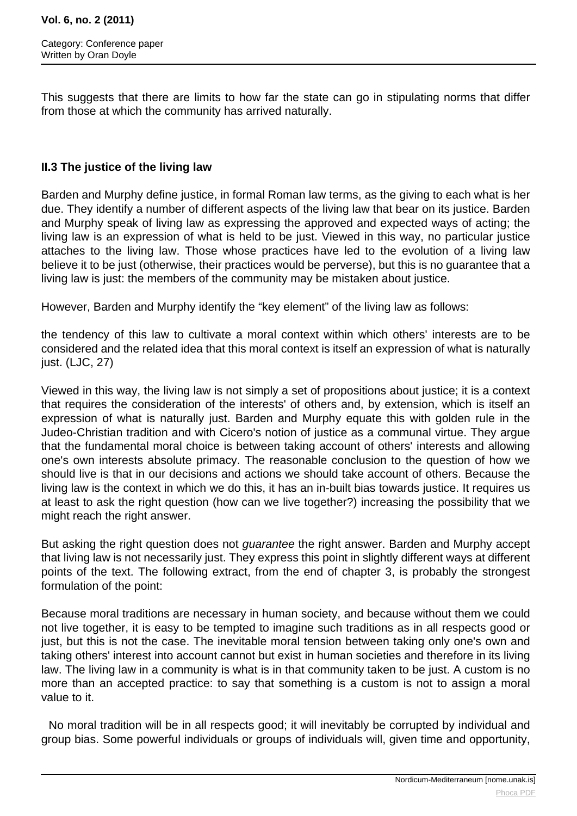This suggests that there are limits to how far the state can go in stipulating norms that differ from those at which the community has arrived naturally.

### **II.3 The justice of the living law**

Barden and Murphy define justice, in formal Roman law terms, as the giving to each what is her due. They identify a number of different aspects of the living law that bear on its justice. Barden and Murphy speak of living law as expressing the approved and expected ways of acting; the living law is an expression of what is held to be just. Viewed in this way, no particular justice attaches to the living law. Those whose practices have led to the evolution of a living law believe it to be just (otherwise, their practices would be perverse), but this is no guarantee that a living law is just: the members of the community may be mistaken about justice.

However, Barden and Murphy identify the "key element" of the living law as follows:

the tendency of this law to cultivate a moral context within which others' interests are to be considered and the related idea that this moral context is itself an expression of what is naturally just. (LJC, 27)

Viewed in this way, the living law is not simply a set of propositions about justice; it is a context that requires the consideration of the interests' of others and, by extension, which is itself an expression of what is naturally just. Barden and Murphy equate this with golden rule in the Judeo-Christian tradition and with Cicero's notion of justice as a communal virtue. They argue that the fundamental moral choice is between taking account of others' interests and allowing one's own interests absolute primacy. The reasonable conclusion to the question of how we should live is that in our decisions and actions we should take account of others. Because the living law is the context in which we do this, it has an in-built bias towards justice. It requires us at least to ask the right question (how can we live together?) increasing the possibility that we might reach the right answer.

But asking the right question does not *guarantee* the right answer. Barden and Murphy accept that living law is not necessarily just. They express this point in slightly different ways at different points of the text. The following extract, from the end of chapter 3, is probably the strongest formulation of the point:

Because moral traditions are necessary in human society, and because without them we could not live together, it is easy to be tempted to imagine such traditions as in all respects good or just, but this is not the case. The inevitable moral tension between taking only one's own and taking others' interest into account cannot but exist in human societies and therefore in its living law. The living law in a community is what is in that community taken to be just. A custom is no more than an accepted practice: to say that something is a custom is not to assign a moral value to it.

 No moral tradition will be in all respects good; it will inevitably be corrupted by individual and group bias. Some powerful individuals or groups of individuals will, given time and opportunity,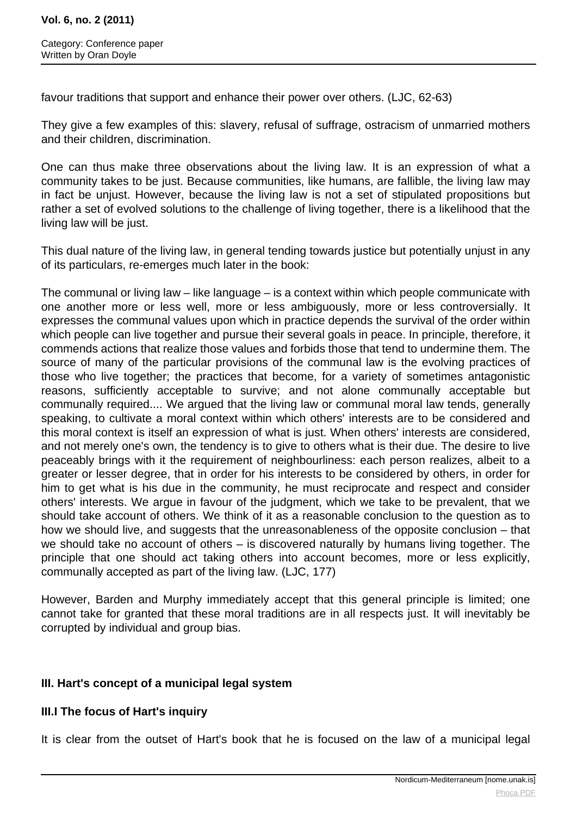favour traditions that support and enhance their power over others. (LJC, 62-63)

They give a few examples of this: slavery, refusal of suffrage, ostracism of unmarried mothers and their children, discrimination.

One can thus make three observations about the living law. It is an expression of what a community takes to be just. Because communities, like humans, are fallible, the living law may in fact be unjust. However, because the living law is not a set of stipulated propositions but rather a set of evolved solutions to the challenge of living together, there is a likelihood that the living law will be just.

This dual nature of the living law, in general tending towards justice but potentially unjust in any of its particulars, re-emerges much later in the book:

The communal or living law – like language – is a context within which people communicate with one another more or less well, more or less ambiguously, more or less controversially. It expresses the communal values upon which in practice depends the survival of the order within which people can live together and pursue their several goals in peace. In principle, therefore, it commends actions that realize those values and forbids those that tend to undermine them. The source of many of the particular provisions of the communal law is the evolving practices of those who live together; the practices that become, for a variety of sometimes antagonistic reasons, sufficiently acceptable to survive; and not alone communally acceptable but communally required.... We argued that the living law or communal moral law tends, generally speaking, to cultivate a moral context within which others' interests are to be considered and this moral context is itself an expression of what is just. When others' interests are considered, and not merely one's own, the tendency is to give to others what is their due. The desire to live peaceably brings with it the requirement of neighbourliness: each person realizes, albeit to a greater or lesser degree, that in order for his interests to be considered by others, in order for him to get what is his due in the community, he must reciprocate and respect and consider others' interests. We argue in favour of the judgment, which we take to be prevalent, that we should take account of others. We think of it as a reasonable conclusion to the question as to how we should live, and suggests that the unreasonableness of the opposite conclusion – that we should take no account of others – is discovered naturally by humans living together. The principle that one should act taking others into account becomes, more or less explicitly, communally accepted as part of the living law. (LJC, 177)

However, Barden and Murphy immediately accept that this general principle is limited; one cannot take for granted that these moral traditions are in all respects just. It will inevitably be corrupted by individual and group bias.

# **III. Hart's concept of a municipal legal system**

# **III.I The focus of Hart's inquiry**

It is clear from the outset of Hart's book that he is focused on the law of a municipal legal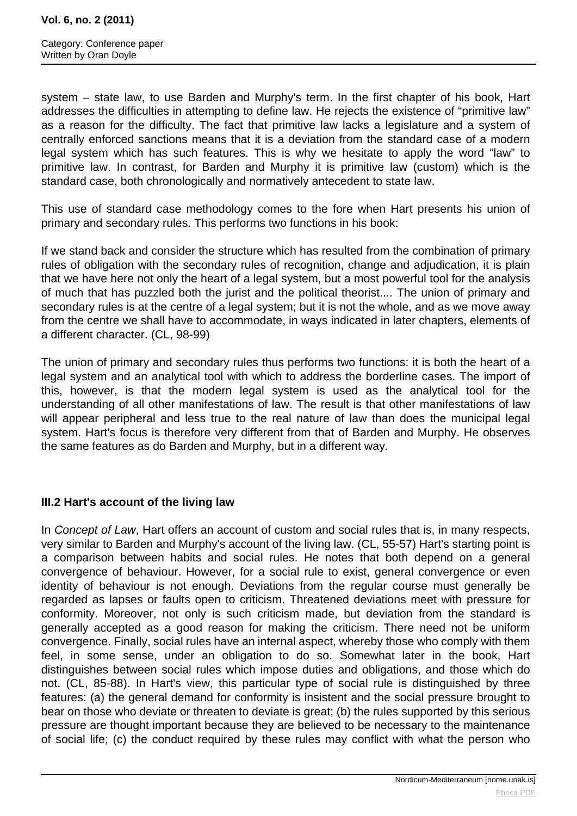system – state law, to use Barden and Murphy's term. In the first chapter of his book, Hart addresses the difficulties in attempting to define law. He rejects the existence of "primitive law" as a reason for the difficulty. The fact that primitive law lacks a legislature and a system of centrally enforced sanctions means that it is a deviation from the standard case of a modern legal system which has such features. This is why we hesitate to apply the word "law" to primitive law. In contrast, for Barden and Murphy it is primitive law (custom) which is the standard case, both chronologically and normatively antecedent to state law.

This use of standard case methodology comes to the fore when Hart presents his union of primary and secondary rules. This performs two functions in his book:

If we stand back and consider the structure which has resulted from the combination of primary rules of obligation with the secondary rules of recognition, change and adjudication, it is plain that we have here not only the heart of a legal system, but a most powerful tool for the analysis of much that has puzzled both the jurist and the political theorist.... The union of primary and secondary rules is at the centre of a legal system; but it is not the whole, and as we move away from the centre we shall have to accommodate, in ways indicated in later chapters, elements of a different character. (CL, 98-99)

The union of primary and secondary rules thus performs two functions: it is both the heart of a legal system and an analytical tool with which to address the borderline cases. The import of this, however, is that the modern legal system is used as the analytical tool for the understanding of all other manifestations of law. The result is that other manifestations of law will appear peripheral and less true to the real nature of law than does the municipal legal system. Hart's focus is therefore very different from that of Barden and Murphy. He observes the same features as do Barden and Murphy, but in a different way.

# **III.2 Hart's account of the living law**

In Concept of Law, Hart offers an account of custom and social rules that is, in many respects, very similar to Barden and Murphy's account of the living law. (CL, 55-57) Hart's starting point is a comparison between habits and social rules. He notes that both depend on a general convergence of behaviour. However, for a social rule to exist, general convergence or even identity of behaviour is not enough. Deviations from the regular course must generally be regarded as lapses or faults open to criticism. Threatened deviations meet with pressure for conformity. Moreover, not only is such criticism made, but deviation from the standard is generally accepted as a good reason for making the criticism. There need not be uniform convergence. Finally, social rules have an internal aspect, whereby those who comply with them feel, in some sense, under an obligation to do so. Somewhat later in the book, Hart distinguishes between social rules which impose duties and obligations, and those which do not. (CL, 85-88). In Hart's view, this particular type of social rule is distinguished by three features: (a) the general demand for conformity is insistent and the social pressure brought to bear on those who deviate or threaten to deviate is great; (b) the rules supported by this serious pressure are thought important because they are believed to be necessary to the maintenance of social life; (c) the conduct required by these rules may conflict with what the person who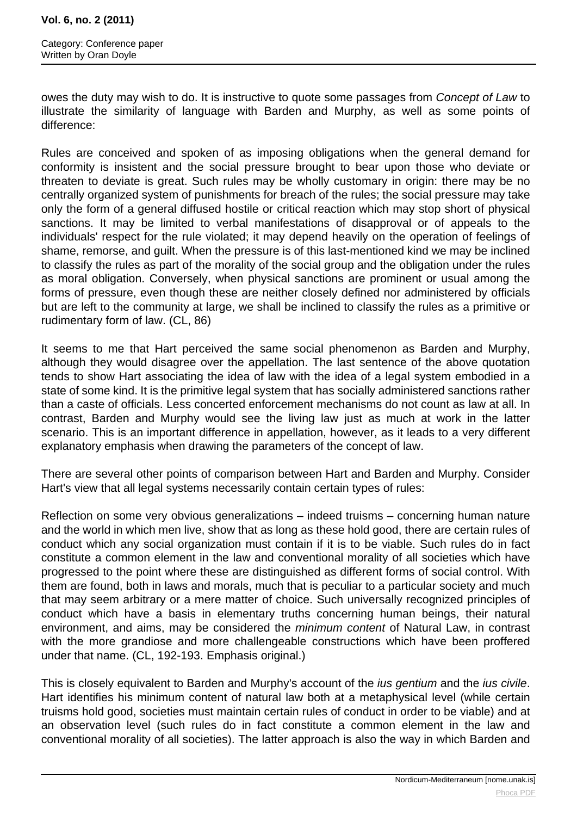owes the duty may wish to do. It is instructive to quote some passages from Concept of Law to illustrate the similarity of language with Barden and Murphy, as well as some points of difference:

Rules are conceived and spoken of as imposing obligations when the general demand for conformity is insistent and the social pressure brought to bear upon those who deviate or threaten to deviate is great. Such rules may be wholly customary in origin: there may be no centrally organized system of punishments for breach of the rules; the social pressure may take only the form of a general diffused hostile or critical reaction which may stop short of physical sanctions. It may be limited to verbal manifestations of disapproval or of appeals to the individuals' respect for the rule violated; it may depend heavily on the operation of feelings of shame, remorse, and guilt. When the pressure is of this last-mentioned kind we may be inclined to classify the rules as part of the morality of the social group and the obligation under the rules as moral obligation. Conversely, when physical sanctions are prominent or usual among the forms of pressure, even though these are neither closely defined nor administered by officials but are left to the community at large, we shall be inclined to classify the rules as a primitive or rudimentary form of law. (CL, 86)

It seems to me that Hart perceived the same social phenomenon as Barden and Murphy, although they would disagree over the appellation. The last sentence of the above quotation tends to show Hart associating the idea of law with the idea of a legal system embodied in a state of some kind. It is the primitive legal system that has socially administered sanctions rather than a caste of officials. Less concerted enforcement mechanisms do not count as law at all. In contrast, Barden and Murphy would see the living law just as much at work in the latter scenario. This is an important difference in appellation, however, as it leads to a very different explanatory emphasis when drawing the parameters of the concept of law.

There are several other points of comparison between Hart and Barden and Murphy. Consider Hart's view that all legal systems necessarily contain certain types of rules:

Reflection on some very obvious generalizations – indeed truisms – concerning human nature and the world in which men live, show that as long as these hold good, there are certain rules of conduct which any social organization must contain if it is to be viable. Such rules do in fact constitute a common element in the law and conventional morality of all societies which have progressed to the point where these are distinguished as different forms of social control. With them are found, both in laws and morals, much that is peculiar to a particular society and much that may seem arbitrary or a mere matter of choice. Such universally recognized principles of conduct which have a basis in elementary truths concerning human beings, their natural environment, and aims, may be considered the minimum content of Natural Law, in contrast with the more grandiose and more challengeable constructions which have been proffered under that name. (CL, 192-193. Emphasis original.)

This is closely equivalent to Barden and Murphy's account of the *ius gentium* and the *ius civile*. Hart identifies his minimum content of natural law both at a metaphysical level (while certain truisms hold good, societies must maintain certain rules of conduct in order to be viable) and at an observation level (such rules do in fact constitute a common element in the law and conventional morality of all societies). The latter approach is also the way in which Barden and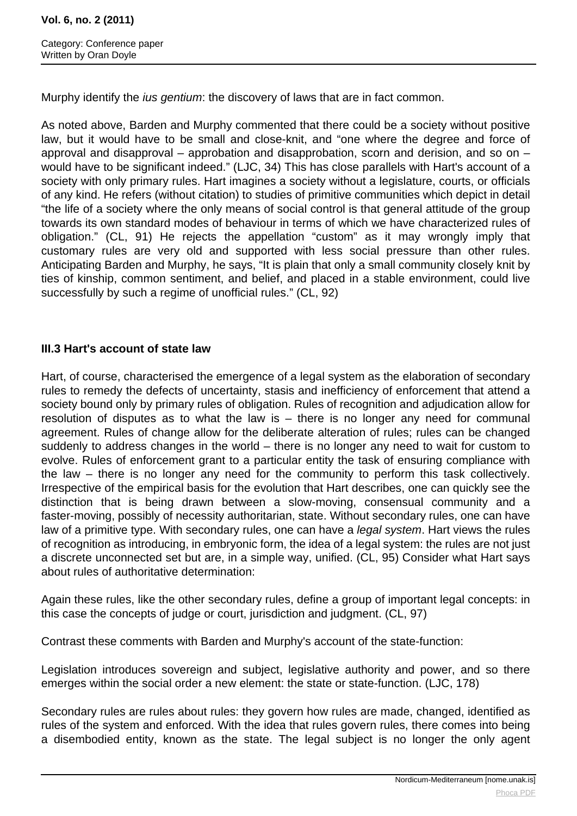Murphy identify the *jus gentium*: the discovery of laws that are in fact common.

As noted above, Barden and Murphy commented that there could be a society without positive law, but it would have to be small and close-knit, and "one where the degree and force of approval and disapproval – approbation and disapprobation, scorn and derision, and so on – would have to be significant indeed." (LJC, 34) This has close parallels with Hart's account of a society with only primary rules. Hart imagines a society without a legislature, courts, or officials of any kind. He refers (without citation) to studies of primitive communities which depict in detail "the life of a society where the only means of social control is that general attitude of the group towards its own standard modes of behaviour in terms of which we have characterized rules of obligation." (CL, 91) He rejects the appellation "custom" as it may wrongly imply that customary rules are very old and supported with less social pressure than other rules. Anticipating Barden and Murphy, he says, "It is plain that only a small community closely knit by ties of kinship, common sentiment, and belief, and placed in a stable environment, could live successfully by such a regime of unofficial rules." (CL, 92)

# **III.3 Hart's account of state law**

Hart, of course, characterised the emergence of a legal system as the elaboration of secondary rules to remedy the defects of uncertainty, stasis and inefficiency of enforcement that attend a society bound only by primary rules of obligation. Rules of recognition and adjudication allow for resolution of disputes as to what the law is – there is no longer any need for communal agreement. Rules of change allow for the deliberate alteration of rules; rules can be changed suddenly to address changes in the world – there is no longer any need to wait for custom to evolve. Rules of enforcement grant to a particular entity the task of ensuring compliance with the law – there is no longer any need for the community to perform this task collectively. Irrespective of the empirical basis for the evolution that Hart describes, one can quickly see the distinction that is being drawn between a slow-moving, consensual community and a faster-moving, possibly of necessity authoritarian, state. Without secondary rules, one can have law of a primitive type. With secondary rules, one can have a *legal system*. Hart views the rules of recognition as introducing, in embryonic form, the idea of a legal system: the rules are not just a discrete unconnected set but are, in a simple way, unified. (CL, 95) Consider what Hart says about rules of authoritative determination:

Again these rules, like the other secondary rules, define a group of important legal concepts: in this case the concepts of judge or court, jurisdiction and judgment. (CL, 97)

Contrast these comments with Barden and Murphy's account of the state-function:

Legislation introduces sovereign and subject, legislative authority and power, and so there emerges within the social order a new element: the state or state-function. (LJC, 178)

Secondary rules are rules about rules: they govern how rules are made, changed, identified as rules of the system and enforced. With the idea that rules govern rules, there comes into being a disembodied entity, known as the state. The legal subject is no longer the only agent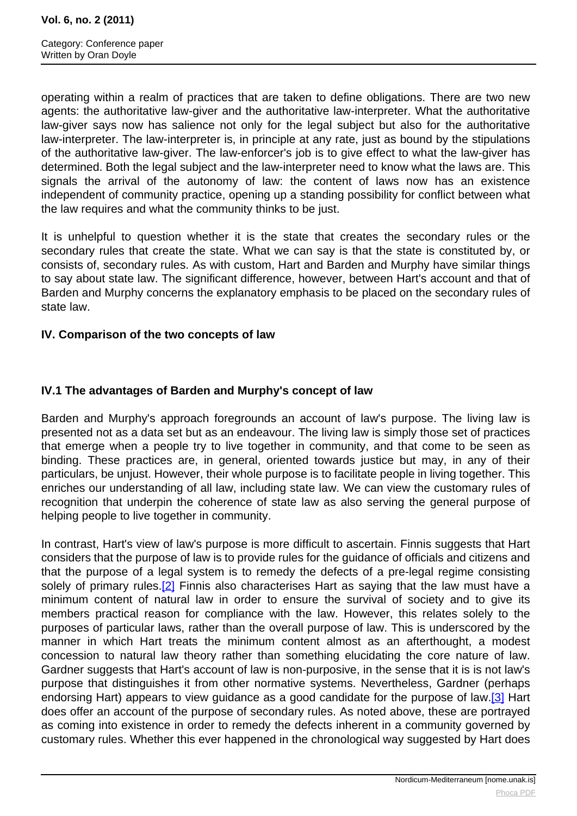<span id="page-8-0"></span>operating within a realm of practices that are taken to define obligations. There are two new agents: the authoritative law-giver and the authoritative law-interpreter. What the authoritative law-giver says now has salience not only for the legal subject but also for the authoritative law-interpreter. The law-interpreter is, in principle at any rate, just as bound by the stipulations of the authoritative law-giver. The law-enforcer's job is to give effect to what the law-giver has determined. Both the legal subject and the law-interpreter need to know what the laws are. This signals the arrival of the autonomy of law: the content of laws now has an existence independent of community practice, opening up a standing possibility for conflict between what the law requires and what the community thinks to be just.

It is unhelpful to question whether it is the state that creates the secondary rules or the secondary rules that create the state. What we can say is that the state is constituted by, or consists of, secondary rules. As with custom, Hart and Barden and Murphy have similar things to say about state law. The significant difference, however, between Hart's account and that of Barden and Murphy concerns the explanatory emphasis to be placed on the secondary rules of state law.

### **IV. Comparison of the two concepts of law**

# **IV.1 The advantages of Barden and Murphy's concept of law**

Barden and Murphy's approach foregrounds an account of law's purpose. The living law is presented not as a data set but as an endeavour. The living law is simply those set of practices that emerge when a people try to live together in community, and that come to be seen as binding. These practices are, in general, oriented towards justice but may, in any of their particulars, be unjust. However, their whole purpose is to facilitate people in living together. This enriches our understanding of all law, including state law. We can view the customary rules of recognition that underpin the coherence of state law as also serving the general purpose of helping people to live together in community.

In contrast, Hart's view of law's purpose is more difficult to ascertain. Finnis suggests that Hart considers that the purpose of law is to provide rules for the guidance of officials and citizens and that the purpose of a legal system is to remedy the defects of a pre-legal regime consisting solely of primary rules.<sup>[2]</sup> Finnis also characterises Hart as saying that the law must have a minimum content of natural law in order to ensure the survival of society and to give its members practical reason for compliance with the law. However, this relates solely to the purposes of particular laws, rather than the overall purpose of law. This is underscored by the manner in which Hart treats the minimum content almost as an afterthought, a modest concession to natural law theory rather than something elucidating the core nature of law. Gardner suggests that Hart's account of law is non-purposive, in the sense that it is is not law's purpose that distinguishes it from other normative systems. Nevertheless, Gardner (perhaps endorsing Hart) appears to view guidance as a good candidate for the purpose of law.<sup>[3]</sup> Hart does offer an account of the purpose of secondary rules. As noted above, these are portrayed as coming into existence in order to remedy the defects inherent in a community governed by customary rules. Whether this ever happened in the chronological way suggested by Hart does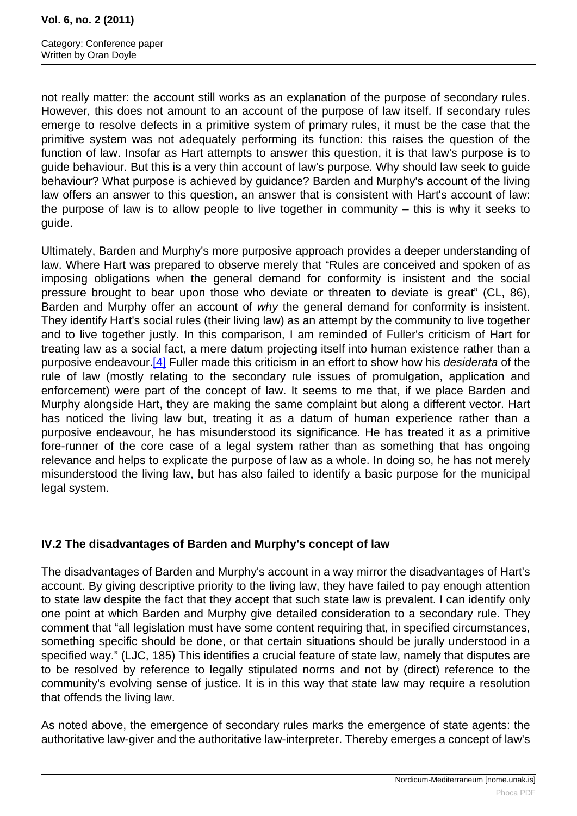<span id="page-9-0"></span>Category: Conference paper Written by Oran Doyle

not really matter: the account still works as an explanation of the purpose of secondary rules. However, this does not amount to an account of the purpose of law itself. If secondary rules emerge to resolve defects in a primitive system of primary rules, it must be the case that the primitive system was not adequately performing its function: this raises the question of the function of law. Insofar as Hart attempts to answer this question, it is that law's purpose is to guide behaviour. But this is a very thin account of law's purpose. Why should law seek to guide behaviour? What purpose is achieved by guidance? Barden and Murphy's account of the living law offers an answer to this question, an answer that is consistent with Hart's account of law: the purpose of law is to allow people to live together in community  $-$  this is why it seeks to guide.

Ultimately, Barden and Murphy's more purposive approach provides a deeper understanding of law. Where Hart was prepared to observe merely that "Rules are conceived and spoken of as imposing obligations when the general demand for conformity is insistent and the social pressure brought to bear upon those who deviate or threaten to deviate is great" (CL, 86), Barden and Murphy offer an account of why the general demand for conformity is insistent. They identify Hart's social rules (their living law) as an attempt by the community to live together and to live together justly. In this comparison, I am reminded of Fuller's criticism of Hart for treating law as a social fact, a mere datum projecting itself into human existence rather than a purposive endeavour.<sup>[\[4\]](#page-9-0)</sup> Fuller made this criticism in an effort to show how his *desiderata* of the rule of law (mostly relating to the secondary rule issues of promulgation, application and enforcement) were part of the concept of law. It seems to me that, if we place Barden and Murphy alongside Hart, they are making the same complaint but along a different vector. Hart has noticed the living law but, treating it as a datum of human experience rather than a purposive endeavour, he has misunderstood its significance. He has treated it as a primitive fore-runner of the core case of a legal system rather than as something that has ongoing relevance and helps to explicate the purpose of law as a whole. In doing so, he has not merely misunderstood the living law, but has also failed to identify a basic purpose for the municipal legal system.

# **IV.2 The disadvantages of Barden and Murphy's concept of law**

The disadvantages of Barden and Murphy's account in a way mirror the disadvantages of Hart's account. By giving descriptive priority to the living law, they have failed to pay enough attention to state law despite the fact that they accept that such state law is prevalent. I can identify only one point at which Barden and Murphy give detailed consideration to a secondary rule. They comment that "all legislation must have some content requiring that, in specified circumstances, something specific should be done, or that certain situations should be jurally understood in a specified way." (LJC, 185) This identifies a crucial feature of state law, namely that disputes are to be resolved by reference to legally stipulated norms and not by (direct) reference to the community's evolving sense of justice. It is in this way that state law may require a resolution that offends the living law.

As noted above, the emergence of secondary rules marks the emergence of state agents: the authoritative law-giver and the authoritative law-interpreter. Thereby emerges a concept of law's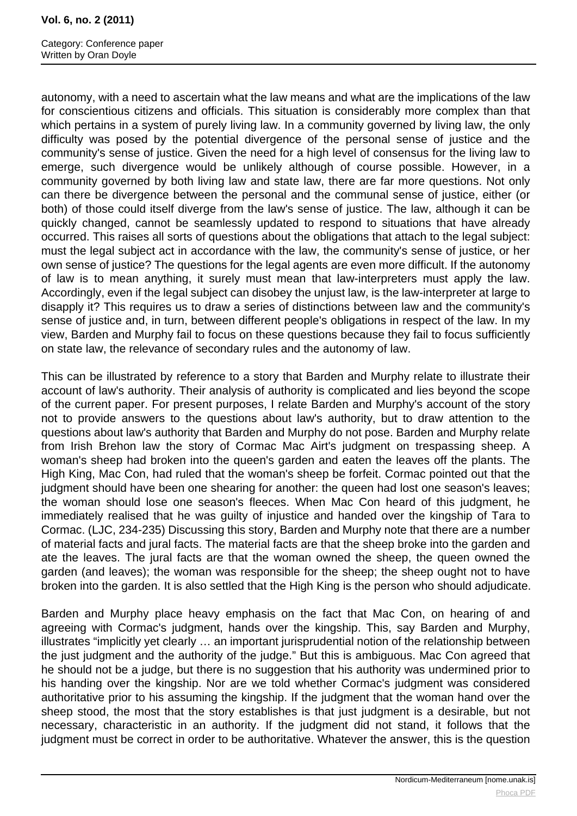Category: Conference paper Written by Oran Doyle

autonomy, with a need to ascertain what the law means and what are the implications of the law for conscientious citizens and officials. This situation is considerably more complex than that which pertains in a system of purely living law. In a community governed by living law, the only difficulty was posed by the potential divergence of the personal sense of justice and the community's sense of justice. Given the need for a high level of consensus for the living law to emerge, such divergence would be unlikely although of course possible. However, in a community governed by both living law and state law, there are far more questions. Not only can there be divergence between the personal and the communal sense of justice, either (or both) of those could itself diverge from the law's sense of justice. The law, although it can be quickly changed, cannot be seamlessly updated to respond to situations that have already occurred. This raises all sorts of questions about the obligations that attach to the legal subject: must the legal subject act in accordance with the law, the community's sense of justice, or her own sense of justice? The questions for the legal agents are even more difficult. If the autonomy of law is to mean anything, it surely must mean that law-interpreters must apply the law. Accordingly, even if the legal subject can disobey the unjust law, is the law-interpreter at large to disapply it? This requires us to draw a series of distinctions between law and the community's sense of justice and, in turn, between different people's obligations in respect of the law. In my view, Barden and Murphy fail to focus on these questions because they fail to focus sufficiently on state law, the relevance of secondary rules and the autonomy of law.

This can be illustrated by reference to a story that Barden and Murphy relate to illustrate their account of law's authority. Their analysis of authority is complicated and lies beyond the scope of the current paper. For present purposes, I relate Barden and Murphy's account of the story not to provide answers to the questions about law's authority, but to draw attention to the questions about law's authority that Barden and Murphy do not pose. Barden and Murphy relate from Irish Brehon law the story of Cormac Mac Airt's judgment on trespassing sheep. A woman's sheep had broken into the queen's garden and eaten the leaves off the plants. The High King, Mac Con, had ruled that the woman's sheep be forfeit. Cormac pointed out that the judgment should have been one shearing for another: the queen had lost one season's leaves; the woman should lose one season's fleeces. When Mac Con heard of this judgment, he immediately realised that he was guilty of injustice and handed over the kingship of Tara to Cormac. (LJC, 234-235) Discussing this story, Barden and Murphy note that there are a number of material facts and jural facts. The material facts are that the sheep broke into the garden and ate the leaves. The jural facts are that the woman owned the sheep, the queen owned the garden (and leaves); the woman was responsible for the sheep; the sheep ought not to have broken into the garden. It is also settled that the High King is the person who should adjudicate.

Barden and Murphy place heavy emphasis on the fact that Mac Con, on hearing of and agreeing with Cormac's judgment, hands over the kingship. This, say Barden and Murphy, illustrates "implicitly yet clearly … an important jurisprudential notion of the relationship between the just judgment and the authority of the judge." But this is ambiguous. Mac Con agreed that he should not be a judge, but there is no suggestion that his authority was undermined prior to his handing over the kingship. Nor are we told whether Cormac's judgment was considered authoritative prior to his assuming the kingship. If the judgment that the woman hand over the sheep stood, the most that the story establishes is that just judgment is a desirable, but not necessary, characteristic in an authority. If the judgment did not stand, it follows that the judgment must be correct in order to be authoritative. Whatever the answer, this is the question